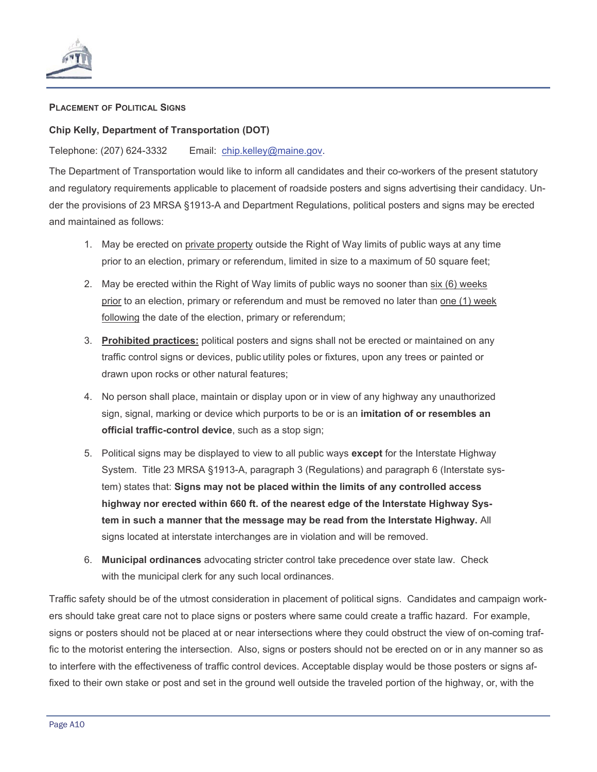

## **PLACEMENT OF POLITICAL SIGNS**

## **Chip Kelly, Department of Transportation (DOT)**

## Telephone: (207) 624-3332 Email: chip.kelley@maine.gov.

The Department of Transportation would like to inform all candidates and their co-workers of the present statutory and regulatory requirements applicable to placement of roadside posters and signs advertising their candidacy. Under the provisions of 23 MRSA §1913-A and Department Regulations, political posters and signs may be erected and maintained as follows:

- 1. May be erected on private property outside the Right of Way limits of public ways at any time prior to an election, primary or referendum, limited in size to a maximum of 50 square feet;
- 2. May be erected within the Right of Way limits of public ways no sooner than six (6) weeks prior to an election, primary or referendum and must be removed no later than one (1) week following the date of the election, primary or referendum;
- 3. **Prohibited practices:** political posters and signs shall not be erected or maintained on any traffic control signs or devices, public utility poles or fixtures, upon any trees or painted or drawn upon rocks or other natural features;
- 4. No person shall place, maintain or display upon or in view of any highway any unauthorized sign, signal, marking or device which purports to be or is an **imitation of or resembles an official traffic-control device**, such as a stop sign;
- 5. Political signs may be displayed to view to all public ways **except** for the Interstate Highway System. Title 23 MRSA §1913-A, paragraph 3 (Regulations) and paragraph 6 (Interstate system) states that: **Signs may not be placed within the limits of any controlled access highway nor erected within 660 ft. of the nearest edge of the Interstate Highway System in such a manner that the message may be read from the Interstate Highway.** All signs located at interstate interchanges are in violation and will be removed.
- 6. **Municipal ordinances** advocating stricter control take precedence over state law. Check with the municipal clerk for any such local ordinances.

Traffic safety should be of the utmost consideration in placement of political signs. Candidates and campaign workers should take great care not to place signs or posters where same could create a traffic hazard. For example, signs or posters should not be placed at or near intersections where they could obstruct the view of on-coming traffic to the motorist entering the intersection. Also, signs or posters should not be erected on or in any manner so as to interfere with the effectiveness of traffic control devices. Acceptable display would be those posters or signs affixed to their own stake or post and set in the ground well outside the traveled portion of the highway, or, with the